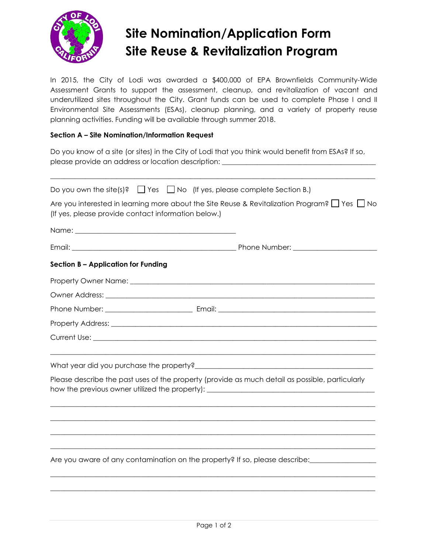

## **Site Nomination/Application Form Site Reuse & Revitalization Program**

In 2015, the City of Lodi was awarded a \$400,000 of EPA Brownfields Community-Wide Assessment Grants to support the assessment, cleanup, and revitalization of vacant and underutilized sites throughout the City. Grant funds can be used to complete Phase I and II Environmental Site Assessments (ESAs), cleanup planning, and a variety of property reuse planning activities. Funding will be available through summer 2018.

## **Section A – Site Nomination/Information Request**

Do you know of a site (or sites) in the City of Lodi that you think would benefit from ESAs? If so, please provide an address or location description: \_\_\_\_

| Do you own the site(s)? $\Box$ Yes $\Box$ No (If yes, please complete Section B.)                                                                              |
|----------------------------------------------------------------------------------------------------------------------------------------------------------------|
| Are you interested in learning more about the Site Reuse & Revitalization Program? $\Box$ Yes $\Box$ No<br>(If yes, please provide contact information below.) |
|                                                                                                                                                                |
|                                                                                                                                                                |
| Section B – Application for Funding                                                                                                                            |
|                                                                                                                                                                |
|                                                                                                                                                                |
|                                                                                                                                                                |
|                                                                                                                                                                |
|                                                                                                                                                                |
|                                                                                                                                                                |
| Please describe the past uses of the property (provide as much detail as possible, particularly                                                                |
|                                                                                                                                                                |
|                                                                                                                                                                |
|                                                                                                                                                                |
| Are you aware of any contamination on the property? If so, please describe:________________________                                                            |
|                                                                                                                                                                |

 $\mathcal{L}_\mathcal{L} = \{ \mathcal{L}_\mathcal{L} = \{ \mathcal{L}_\mathcal{L} = \{ \mathcal{L}_\mathcal{L} = \{ \mathcal{L}_\mathcal{L} = \{ \mathcal{L}_\mathcal{L} = \{ \mathcal{L}_\mathcal{L} = \{ \mathcal{L}_\mathcal{L} = \{ \mathcal{L}_\mathcal{L} = \{ \mathcal{L}_\mathcal{L} = \{ \mathcal{L}_\mathcal{L} = \{ \mathcal{L}_\mathcal{L} = \{ \mathcal{L}_\mathcal{L} = \{ \mathcal{L}_\mathcal{L} = \{ \mathcal{L}_\mathcal{$